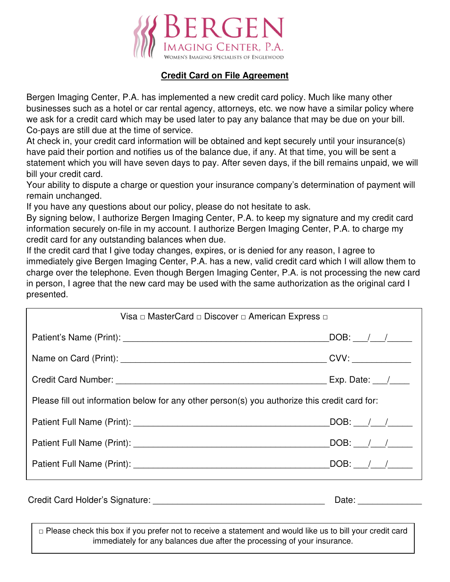

# **Credit Card on File Agreement**

Bergen Imaging Center, P.A. has implemented a new credit card policy. Much like many other businesses such as a hotel or car rental agency, attorneys, etc. we now have a similar policy where we ask for a credit card which may be used later to pay any balance that may be due on your bill. Co-pays are still due at the time of service.

At check in, your credit card information will be obtained and kept securely until your insurance(s) have paid their portion and notifies us of the balance due, if any. At that time, you will be sent a statement which you will have seven days to pay. After seven days, if the bill remains unpaid, we will bill your credit card.

Your ability to dispute a charge or question your insurance company's determination of payment will remain unchanged.

If you have any questions about our policy, please do not hesitate to ask.

By signing below, I authorize Bergen Imaging Center, P.A. to keep my signature and my credit card information securely on-file in my account. I authorize Bergen Imaging Center, P.A. to charge my credit card for any outstanding balances when due.

If the credit card that I give today changes, expires, or is denied for any reason, I agree to immediately give Bergen Imaging Center, P.A. has a new, valid credit card which I will allow them to charge over the telephone. Even though Bergen Imaging Center, P.A. is not processing the new card in person, I agree that the new card may be used with the same authorization as the original card I presented.

| Visa □ MasterCard □ Discover □ American Express □                                             |                                                        |
|-----------------------------------------------------------------------------------------------|--------------------------------------------------------|
|                                                                                               |                                                        |
|                                                                                               |                                                        |
|                                                                                               |                                                        |
| Please fill out information below for any other person(s) you authorize this credit card for: |                                                        |
|                                                                                               | $\overline{\textsf{DOB}}:$ ___/___/____                |
|                                                                                               | $\lfloor$ DOB: $\lfloor$ $\rfloor$ $\lfloor$ $\rfloor$ |
|                                                                                               |                                                        |
|                                                                                               |                                                        |

□ Please check this box if you prefer not to receive a statement and would like us to bill your credit card immediately for any balances due after the processing of your insurance.